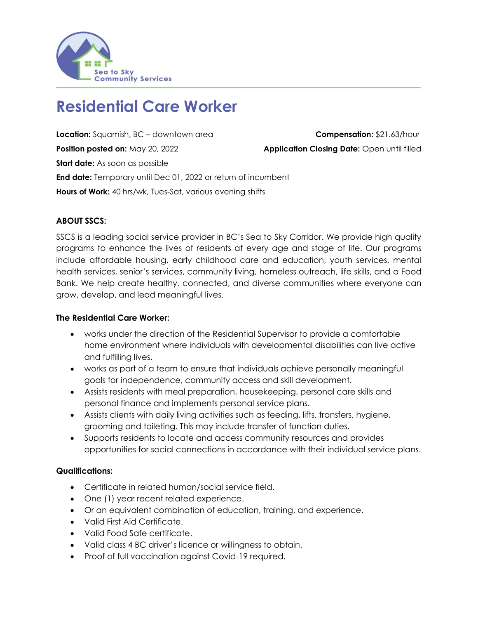

# **Residential Care Worker**

**Location:** Squamish, BC – downtown area **Compensation:** \$21.63/hour **Position posted on:** May 20, 2022 **Application Closing Date:** Open until filled **Start date:** As soon as possible **End date:** Temporary until Dec 01, 2022 or return of incumbent **Hours of Work:** 40 hrs/wk, Tues-Sat, various evening shifts

**ABOUT SSCS:**

SSCS is a leading social service provider in BC's Sea to Sky Corridor. We provide high quality programs to enhance the lives of residents at every age and stage of life. Our programs include affordable housing, early childhood care and education, youth services, mental health services, senior's services, community living, homeless outreach, life skills, and a Food Bank. We help create healthy, connected, and diverse communities where everyone can grow, develop, and lead meaningful lives.

# **The Residential Care Worker:**

- works under the direction of the Residential Supervisor to provide a comfortable home environment where individuals with developmental disabilities can live active and fulfilling lives.
- works as part of a team to ensure that individuals achieve personally meaningful goals for independence, community access and skill development.
- Assists residents with meal preparation, housekeeping, personal care skills and personal finance and implements personal service plans.
- Assists clients with daily living activities such as feeding, lifts, transfers, hygiene, grooming and toileting. This may include transfer of function duties.
- Supports residents to locate and access community resources and provides opportunities for social connections in accordance with their individual service plans.

# **Qualifications:**

- Certificate in related human/social service field.
- One (1) year recent related experience.
- Or an equivalent combination of education, training, and experience.
- Valid First Aid Certificate.
- Valid Food Safe certificate.
- Valid class 4 BC driver's licence or willingness to obtain.
- Proof of full vaccination against Covid-19 required.